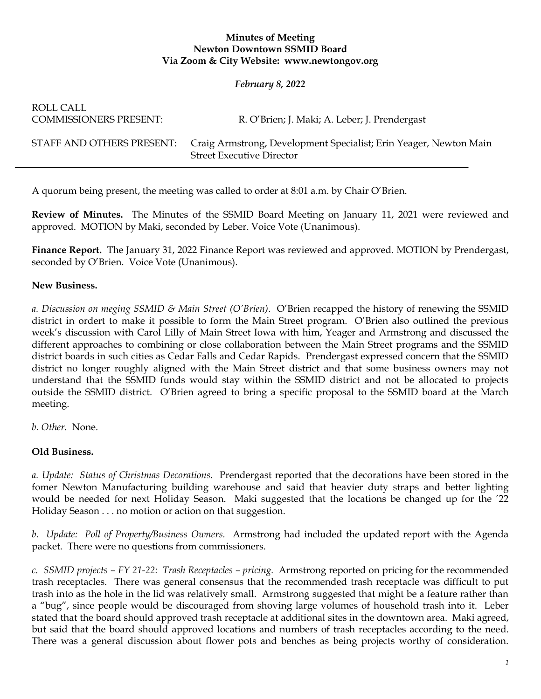## **Minutes of Meeting Newton Downtown SSMID Board Via Zoom & City Website: www.newtongov.org**

## *February 8, 2022*

| ROLL CALL<br><b>COMMISSIONERS PRESENT:</b> | R. O'Brien; J. Maki; A. Leber; J. Prendergast                                                         |
|--------------------------------------------|-------------------------------------------------------------------------------------------------------|
| STAFF AND OTHERS PRESENT:                  | Craig Armstrong, Development Specialist; Erin Yeager, Newton Main<br><b>Street Executive Director</b> |

A quorum being present, the meeting was called to order at 8:01 a.m. by Chair O'Brien.

**Review of Minutes.** The Minutes of the SSMID Board Meeting on January 11, 2021 were reviewed and approved. MOTION by Maki, seconded by Leber. Voice Vote (Unanimous).

**Finance Report.** The January 31, 2022 Finance Report was reviewed and approved. MOTION by Prendergast, seconded by O'Brien. Voice Vote (Unanimous).

## **New Business.**

*a. Discussion on meging SSMID & Main Street (O'Brien).* O'Brien recapped the history of renewing the SSMID district in ordert to make it possible to form the Main Street program. O'Brien also outlined the previous week's discussion with Carol Lilly of Main Street Iowa with him, Yeager and Armstrong and discussed the different approaches to combining or close collaboration between the Main Street programs and the SSMID district boards in such cities as Cedar Falls and Cedar Rapids. Prendergast expressed concern that the SSMID district no longer roughly aligned with the Main Street district and that some business owners may not understand that the SSMID funds would stay within the SSMID district and not be allocated to projects outside the SSMID district. O'Brien agreed to bring a specific proposal to the SSMID board at the March meeting.

*b. Other.* None.

## **Old Business.**

*a. Update: Status of Christmas Decorations.* Prendergast reported that the decorations have been stored in the fomer Newton Manufacturing building warehouse and said that heavier duty straps and better lighting would be needed for next Holiday Season. Maki suggested that the locations be changed up for the '22 Holiday Season . . . no motion or action on that suggestion.

*b. Update: Poll of Property/Business Owners.* Armstrong had included the updated report with the Agenda packet. There were no questions from commissioners.

*c. SSMID projects – FY 21-22: Trash Receptacles – pricing.* Armstrong reported on pricing for the recommended trash receptacles. There was general consensus that the recommended trash receptacle was difficult to put trash into as the hole in the lid was relatively small. Armstrong suggested that might be a feature rather than a "bug", since people would be discouraged from shoving large volumes of household trash into it. Leber stated that the board should approved trash receptacle at additional sites in the downtown area. Maki agreed, but said that the board should approved locations and numbers of trash receptacles according to the need. There was a general discussion about flower pots and benches as being projects worthy of consideration.